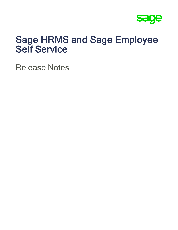

# Sage HRMS and Sage Employee Self Service

Release Notes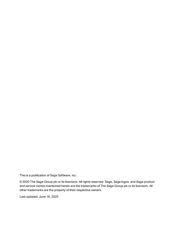This is a publication of Sage Software, Inc.

© 2020 The Sage Group plc or its licensors. All rights reserved. Sage, Sage logos, and Sage product and service names mentioned herein are the trademarks of The Sage Group plc or its licensors. All other trademarks are the property of their respective owners.

Last updated: June 18, 2020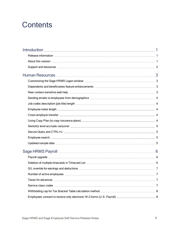# **Contents**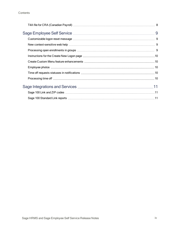| Time off requests statuses in notifications ………………………………………………………………10 |  |
|------------------------------------------------------------------------|--|
|                                                                        |  |
|                                                                        |  |
|                                                                        |  |
|                                                                        |  |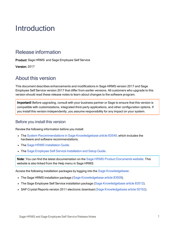# <span id="page-4-0"></span>Introduction

#### <span id="page-4-1"></span>Release information

Product: Sage HRMS and Sage Employee Self Service

<span id="page-4-2"></span>Version: 2017

#### About this version

This document describes enhancements and modifications in Sage HRMS version 2017 and Sage Employee Self Service version 2017 that differ from earlier versions. All customers who upgrade to this version should read these release notes to learn about changes to the software program.

Important! Before upgrading, consult with your business partner or Sage to ensure that this version is compatible with customizations, integrated third-party applications, and other configuration options. If you install this version independently, you assume responsibility for any impact on your system.

#### Before you install this version

Review the following information before you install:

- The System [Recommendations](https://support.na.sage.com/selfservice/viewdocument.do?noCount=true&externalId=83549) in Sage Knowledgebase article 83549, which includes the hardware and software recommendations.
- The Sage HRMS [Installation](https://cdn.na.sage.com/docs/en/customer/hrms/current/open/SageHRMS_InstallationGuide.pdf) Guide.
- The Sage Employee Self Service [Installation](https://cdn.na.sage.com/docs/en/customer/hrms/current/open/SageESS_InstallationandSetupGuide.pdf) and Setup Guide.

Note: You can find the latest documentation on the Sage HRMS Product [Documents](http://cdn.na.sage.com/docs/en/customer/hrms/documentation.htm) website. This website is also linked from the Help menu in Sage HRMS.

Access the following installation packages by logging into the Sage [Knowledgebase](https://www.sagekb.com/):

- The Sage HRMS installation package (Sage [Knowledgebase](https://support.na.sage.com/selfservice/viewdocument.do?noCount=true&externalId=83509) article 83509).
- The Sage Employee Self Service installation package (Sage [Knowledgebase](https://support.na.sage.com/selfservice/viewdocument.do?noCount=true&externalId=83512) article 83512).
- SAP Crystal Reports version 2011 electronic download (Sage [Knowledgebase](https://support.na.sage.com/selfservice/viewdocument.do?noCount=true&externalId=50162) article 50162).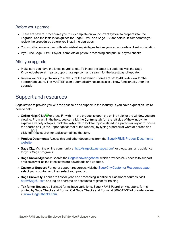#### Before you upgrade

- There are several procedures you must complete on your current system to prepare it for the upgrade. See the installation guides for Sage HRMS and Sage ESS for details. It is imperative you review the procedures before you install the upgrades.
- You must log on as a user with administrative privileges before you can upgrade a client workstation.
- If you use Sage HRMS Payroll, complete all payroll processing and print all payroll checks.

#### After you upgrade

- Make sure you have the latest payroll taxes. To install the latest tax updates, visit the Sage Knowledgebase at https://support.na.sage.com and search for the latest payroll update.
- Review your Group Security to make sure the new menu items are set to Allow Access for the appropriate users. The MASTER user automatically has access to all new functionality after the upgrade.

#### <span id="page-5-0"></span>Support and resources

Sage strives to provide you with the best help and support in the industry. If you have a question, we're here to help!

• Online Help: Click  $\bullet$  or press F1 within in the product to open the online help for the window you are viewing. From within the help, you can click the Contents tab (on the left side of the window) to explore a variety of topics, click the Index tab to look for topics related to a particular keyword, or use the search box (in the upper right corner of the window) by typing a particular word or phrase and

clicking  $\boxed{\Omega}$  to search for topics containing that text.

- Product [Documents](http://cdn.na.sage.com/docs/en/customer/hrms/documentation.htm): Access this and other documents from the Sage HRMS Product Documents [website](http://cdn.na.sage.com/docs/en/customer/hrms/documentation.htm).
- Sage City: Visit the online community at <http://sagecity.na.sage.com/> for blogs, tips, and guidance for your Sage programs.
- Sage [Knowledgebase](https://support.na.sage.com/selfservice/microsites/msbrowse.do?UMBrowseSelection=SG_SAGEHRMS_1): Search the Sage Knowledgebase, which provides 24/7 access to support articles as well as the latest software downloads and updates.
- Customer Support: For other support resources, visit the Sage City Customer [Resources](http://www.sagecity.com/Resources) page, select your country, and then select your product.
- Sage University: Learn pro tips for year-end processing in online or classroom courses. Visit [http://SageU.com](http://sageu.com/) and log on or create an account to register for training.
- Tax forms: Because all printed forms have variations, Sage HRMS Payroll only supports forms printed by Sage Checks and Forms. Call Sage Checks and Forms at 800-617-3224 or order online at [www.SageChecks.com](http://www.sagechecks.com/).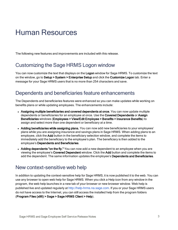# <span id="page-6-0"></span>Human Resources

<span id="page-6-1"></span>The following new features and improvements are included with this release.

### Customizing the Sage HRMS Logon window

You can now customize the text that displays on the Logon window for Sage HRMS. To customize the text on the window, go to Setup > System > Enterprise Setup and click the Customize Logon tab. Enter a message for your Sage HRMS users that is no more than 254 characters and save.

#### <span id="page-6-2"></span>Dependents and beneficiaries feature enhancements

The Dependents and beneficiaries features were enhanced so you can make updates while working on benefits plans or while updating employees. The enhancements include:

- Assigning multiple beneficiaries and covered dependents at once. You can now update multiple dependents or beneficiaries for an employee at once. Use the Covered Dependents or Assign Beneficiaries windows (Employees > View/Edit Employee > Benefits > Insurance Benefits) to assign and select more than one dependent or beneficiary at a time.
- Adding beneficiaries while assigning plans. You can now add new beneficiaries to your employees' plans while you are assigning insurance and savings plans in Sage HRMS. When adding plans to an employee, click the Add button in the beneficiary selection window, and complete the items to immediately add the beneficiary to the employee's plan. The beneficiary is then added to the employee's Dependents and Beneficiaries.
- Adding dependents "on the fly." You can now add a new dependent to an employee when you are viewing the employee's Covered Dependent window. Click the Add button and complete the items to add the dependent. The same information updates the employee's Dependents and Beneficiaries.

#### <span id="page-6-3"></span>New context-sensitive web help

In addition to updating the context-sensitive help for Sage HRMS, it is now published it to the web. You can use any browser to open web help for Sage HRMS. When you click a Help icon from any window in the program, the web help launches in a new tab of your browser or new browser window. Web help is published live and updated regularly at [http://help-hrms.na.sage.com](http://help-hrms.na.sage.com/en-us/2017). If you or your Sage HRMS users do not have access to the Internet, you can still access the installed help from the program folders (Program Files (x86) > Sage > Sage HRMS Client > Help).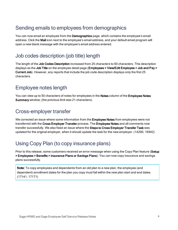# <span id="page-7-0"></span>Sending emails to employees from demographics

You can now email an employee from the **Demographics** page, which contains the employee's email address. Click the Mail icon next to the employee's email address, and your default email program will open a new blank message with the employee's email address entered.

### <span id="page-7-1"></span>Job codes description (job title) length

The length of the Job Codes Description increased from 25 characters to 60 characters. This description displays as the Job Title on the employee detail page (Employees > View/Edit Employee > Job and Pay > Current Job). However, any reports that include the job code description displays only the first 25 characters.

#### <span id="page-7-2"></span>Employee notes length

<span id="page-7-3"></span>You can view up to 50 characters of notes for employees in the Notes column of the Employee Notes Summary window; (the previous limit was 21 characters).

#### Cross-employer transfer

We corrected an issue where some information from the **Employee Notes** from employees were not transferred with the Cross Employer Transfer process. The Employee Notes and all comments now transfer successfully. We also fixed an issue where the Steps to Cross Employer Transfer Task was updated for the original employer, when it should update the task for the new employer. (14290, 16942)

# <span id="page-7-4"></span>Using Copy Plan (to copy insurance plans)

Prior to this release, some customers received an error message when using the Copy Plan feature (Setup > Employees > Benefits > Insurance Plans or Savings Plans). You can now copy insurance and savings plans successfully.

Note: To copy employees and dependents from an old plan to a new plan, the employee (and dependent) enrollment dates for the plan you copy must fall within the new plan start and end dates. (17141, 17171)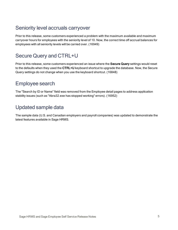## <span id="page-8-0"></span>Seniority level accruals carryover

Prior to this release, some customers experienced a problem with the maximum available and maximum carryover hours for employees with the seniority level of 10. Now, the correct time off accrual balances for employees with all seniority levels will be carried over. (16949)

## <span id="page-8-1"></span>Secure Query and CTRL+U

Prior to this release, some customers experienced an issue where the Secure Query settings would reset to the defaults when they used the CTRL+U keyboard shortcut to upgrade the database. Now, the Secure Query settings do not change when you use the keyboard shortcut. (16848)

#### <span id="page-8-2"></span>Employee search

<span id="page-8-3"></span>The "Search by ID or Name" field was removed from the Employee detail pages to address application stability issues (such as "Abra32.exe has stopped working" errors). (16952)

# Updated sample data

The sample data (U.S. and Canadian employers and payroll companies) was updated to demonstrate the latest features available in Sage HRMS.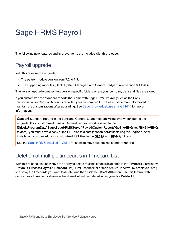# <span id="page-9-0"></span>Sage HRMS Payroll

<span id="page-9-1"></span>The following new features and improvements are included with this release.

# Payroll upgrade

With this release, we upgraded:

- $\bullet$  The payroll module version from 7.2 to 7.3.
- The supporting modules (Bank, System Manager, and General Ledger) from version 6.1 to 6.4.

The version upgrade creates new version-specific folders where your company data and files are stored.

If you customized the standard reports that come with Sage HRMS Payroll (such as the Bank Reconciliation or Chart of Accounts reports), your customized RPT files must be manually moved to maintain the customizations after upgrading. See Sage [Knowledgebase](https://support.na.sage.com/selfservice/viewdocument.do?noCount=true&externalId=71417) article 71417 for more information.

Caution! Standard reports in the Bank and General Ledger folders will be overwritten during the upgrade. If you customized Bank or General Ledger reports (saved to the [Drive]:\ProgramData\Sage\SageHRMSServer\Payroll\CustomReports\GL61A\ENG and \BK61A\ENG folders), you must save a copy of the RPT files to a safe location **before** installing the upgrade. After installation, you can add your customized RPT files to the GL64A and BK64A folders.

<span id="page-9-2"></span>See the Sage [HRMS Installation](https://cdn.na.sage.com/docs/en/customer/hrms/current/open/SageHRMS_InstallationGuide.pdf) Guide for steps to move customized standard reports.

## Deletion of multiple timecards in Timecard List

With this release, you now have the ability to delete multiple timecards at once in the Timecard List window (Payroll > Process Payroll > Timecard List). First use the filter criteria (Active, Inactive, by employee, etc.) to display the timecards you want to delete, and then click the Delete All button. Use this feature with caution, as all timecards shown in the filtered list will be deleted when you click Delete All.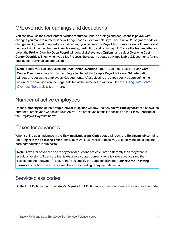## <span id="page-10-0"></span>G/L override for earnings and deductions

You can now use the Cost Center Override feature to update earnings and deductions in payroll with changes you make to related General Ledger codes. For example, if you add a new G/L segment code or change an Org Level (mapped to a cost center), you can use the Payroll > Process Payroll > Open Payroll process to include the changes in each earning, deduction, and tax in payroll. To use the feature, after you select the Profile ID on the Open Payroll window, click Advanced Options, and select Overwrite Cost Center Overrides. Then, when you click Process, the system updates any applicable G/L segments for the employees' earnings and deductions.

Note: Before you can start using the Cost Center Overrides feature, you must select the Use Cost Center Overrides check box on the Integration tab of the Setup > Payroll > Payroll G/L Integration window and set up the employees' G/L segments. After selecting the check box, you can define the nature of the overrides on the Segments tab of the same setup window. See the "Using Cost [Center](http://help-hrms.na.sage.com/en-us/2017/web/index.htm#../Subsystems/UP/Content/Payroll/UsingCostCenterOverrides.htm) [Overrides"](http://help-hrms.na.sage.com/en-us/2017/web/index.htm#../Subsystems/UP/Content/Payroll/UsingCostCenterOverrides.htm) help topic to learn more.

#### <span id="page-10-1"></span>Number of active employees

On the Company tab of the Setup > Payroll > Options window, the new Active Employees item displays the number of employees whose status is Active. The employee status is specified on the Class/Schd tab of the Employee Payroll window.

#### <span id="page-10-2"></span>Taxes for advances

When setting up an advance in the Earnings/Deductions Codes setup window, the Employee tab contains the Subject to the Following Taxes item is now available, which enables you to specify the taxes that the earning/deduction is subject to.

Note: Taxes for advances and repayment deductions are calculated differently than they were in previous versions. To ensure that taxes are calculated correctly for a taxable advance (and the corresponding repayment), ensure that you specify the same taxes in the Subject to the Following Taxes item for both the advance and the corresponding repayment deduction.

#### <span id="page-10-3"></span>Service class codes

On the EFT Options window (Setup > Payroll > EFT Options), you can now change the service class code.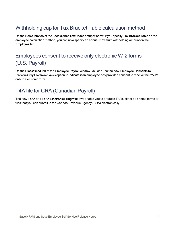# <span id="page-11-0"></span>Withholding cap for Tax Bracket Table calculation method

On the Basic Info tab of the Local/Other Tax Codes setup window, if you specify Tax Bracket Table as the employee calculation method, you can now specify an annual maximum withholding amount on the Employee tab.

# <span id="page-11-1"></span>Employees consent to receive only electronic W-2 forms (U.S. Payroll)

On the Class/Schd tab of the Employee Payroll window, you can use the new Employee Consents to Receive Only Electronic W-2s option to indicate if an employee has provided consent to receive their W-2s only in electronic form.

# <span id="page-11-2"></span>T4A file for CRA (Canadian Payroll)

The new T4As and T4As Electronic Filing windows enable you to produce T4As, either as printed forms or files that you can submit to the Canada Revenue Agency (CRA) electronically.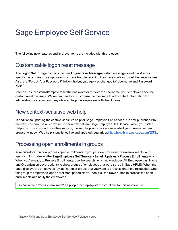# <span id="page-12-0"></span>Sage Employee Self Service

<span id="page-12-1"></span>The following new features and improvements are included with this release.

#### Customizable logon reset message

The Logon Setup page contains the new Logon Reset Message custom message so administrators specify the text seen by employees who have trouble resetting their passwords or forget their user names. Also, the "Forgot Your Password?" link on the Logon page was changed to "Username and Password Help."

After an unsuccessful attempt to reset the password or retrieve the username, your employees see the custom reset message. We recommend you customize the message to add contact information for administrators at your company who can help the employees with their logons.

#### <span id="page-12-2"></span>New context-sensitive web help

In addition to updating the context-sensitive help for Sage Employee Self Service, it is now published it to the web. You can use any browser to open web help for Sage Employee Self Service. When you click a Help icon from any window in the program, the web help launches in a new tab of your browser or new browser window. Web help is published live and updated regularly at <http://help-hrms.na.sage.com/ESS/>.

## <span id="page-12-3"></span>Processing open enrollments in groups

Administrators can now process open enrollments in groups, view processed open enrollments, and specify rollout dates on the Sage Employee Self Service > Benefit Updates > Process Enrollment page. When you're ready to Process Enrollments, use the search (which now includes All, Employee Last Name, and Organization Level options) to show groups of employees that were set up in Sage HRMS. When the page displays the employees (by last name or group) that you want to process, enter the rollout date when this group of employees' open enrollment period starts, then click the **Save** button to process the open enrollments and notify the employees.

Tip: View the "Process Enrollment" help topic for step-by-step instructions for this new feature.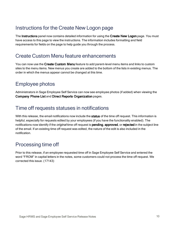# <span id="page-13-0"></span>Instructions for the Create New Logon page

The Instructions panel now contains detailed information for using the Create New Logon page. You must have access to this page to view the instructions. The information includes formatting and field requirements for fields on the page to help guide you through the process.

#### <span id="page-13-1"></span>Create Custom Menu feature enhancements

You can now use the Create Custom Menu feature to add parent-level menu items and links to custom sites to the menu items. New menus you create are added to the bottom of the lists in existing menus. The order in which the menus appear cannot be changed at this time.

# <span id="page-13-2"></span>Employee photos

<span id="page-13-3"></span>Administrators in Sage Employee Self Service can now see employee photos (if added) when viewing the Company Phone List and Direct Reports Organization pages.

### Time off requests statuses in notifications

With this release, the email notifications now include the status of the time off request. This information is helpful, especially for requests edited by your employees (if you have the functionality enabled). The notifications now identify if the *original* time off request is **pending, approved**, or rejected in the subject line of the email. If an existing time off request was edited, the nature of the edit is also included in the notification.

### <span id="page-13-4"></span>Processing time off

Prior to this release, if an employee requested time off in Sage Employee Self Service and entered the word "FROM" in capital letters in the notes, some customers could not process the time off request. We corrected this issue. (17143)